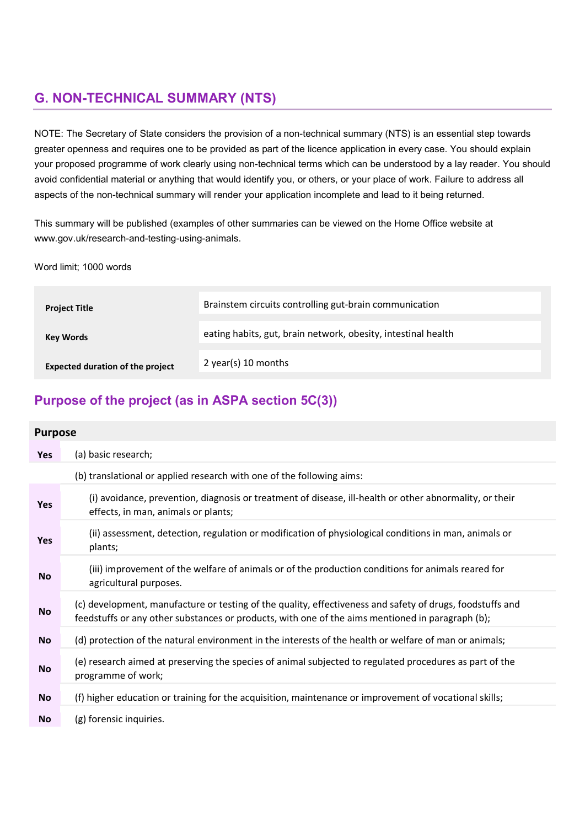# G. NON-TECHNICAL SUMMARY (NTS)

NOTE: The Secretary of State considers the provision of a non-technical summary (NTS) is an essential step towards greater openness and requires one to be provided as part of the licence application in every case. You should explain your proposed programme of work clearly using non-technical terms which can be understood by a lay reader. You should avoid confidential material or anything that would identify you, or others, or your place of work. Failure to address all aspects of the non-technical summary will render your application incomplete and lead to it being returned.

This summary will be published (examples of other summaries can be viewed on the Home Office website at www.gov.uk/research-and-testing-using-animals.

Word limit; 1000 words

| <b>Project Title</b>                    | Brainstem circuits controlling gut-brain communication        |
|-----------------------------------------|---------------------------------------------------------------|
| Key Words                               | eating habits, gut, brain network, obesity, intestinal health |
| <b>Expected duration of the project</b> | 2 year(s) 10 months                                           |

## Purpose of the project (as in ASPA section 5C(3))

| <b>Purpose</b> |                                                                                                                                                                                                               |  |
|----------------|---------------------------------------------------------------------------------------------------------------------------------------------------------------------------------------------------------------|--|
| <b>Yes</b>     | (a) basic research;                                                                                                                                                                                           |  |
|                | (b) translational or applied research with one of the following aims:                                                                                                                                         |  |
| <b>Yes</b>     | (i) avoidance, prevention, diagnosis or treatment of disease, ill-health or other abnormality, or their<br>effects, in man, animals or plants;                                                                |  |
| <b>Yes</b>     | (ii) assessment, detection, regulation or modification of physiological conditions in man, animals or<br>plants;                                                                                              |  |
| <b>No</b>      | (iii) improvement of the welfare of animals or of the production conditions for animals reared for<br>agricultural purposes.                                                                                  |  |
| No             | (c) development, manufacture or testing of the quality, effectiveness and safety of drugs, foodstuffs and<br>feedstuffs or any other substances or products, with one of the aims mentioned in paragraph (b); |  |
| No.            | (d) protection of the natural environment in the interests of the health or welfare of man or animals;                                                                                                        |  |

- No (e) research aimed at preserving the species of animal subjected to regulated procedures as part of the programme of work;
- No (f) higher education or training for the acquisition, maintenance or improvement of vocational skills;
- No (g) forensic inquiries.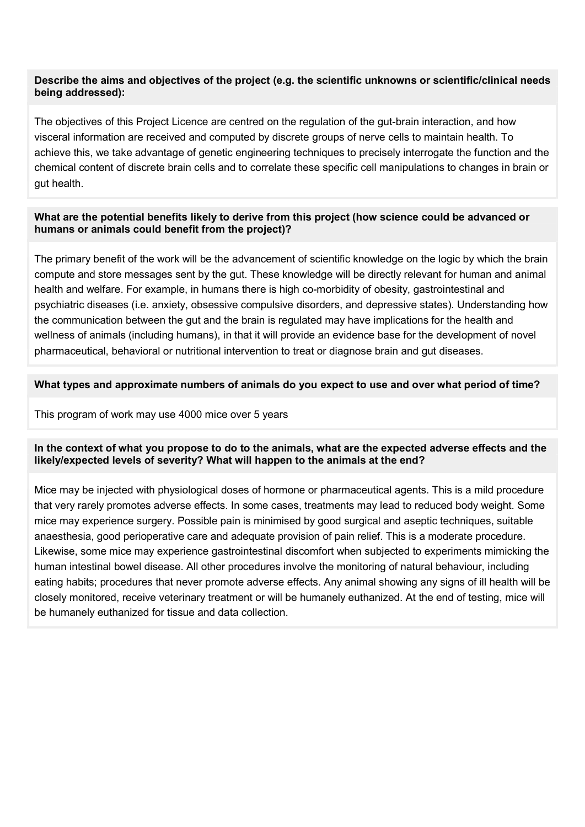### Describe the aims and objectives of the project (e.g. the scientific unknowns or scientific/clinical needs being addressed):

The objectives of this Project Licence are centred on the regulation of the gut-brain interaction, and how visceral information are received and computed by discrete groups of nerve cells to maintain health. To achieve this, we take advantage of genetic engineering techniques to precisely interrogate the function and the chemical content of discrete brain cells and to correlate these specific cell manipulations to changes in brain or gut health.

### What are the potential benefits likely to derive from this project (how science could be advanced or humans or animals could benefit from the project)?

The primary benefit of the work will be the advancement of scientific knowledge on the logic by which the brain compute and store messages sent by the gut. These knowledge will be directly relevant for human and animal health and welfare. For example, in humans there is high co-morbidity of obesity, gastrointestinal and psychiatric diseases (i.e. anxiety, obsessive compulsive disorders, and depressive states). Understanding how the communication between the gut and the brain is regulated may have implications for the health and wellness of animals (including humans), in that it will provide an evidence base for the development of novel pharmaceutical, behavioral or nutritional intervention to treat or diagnose brain and gut diseases.

### What types and approximate numbers of animals do you expect to use and over what period of time?

This program of work may use 4000 mice over 5 years

## In the context of what you propose to do to the animals, what are the expected adverse effects and the likely/expected levels of severity? What will happen to the animals at the end?

Mice may be injected with physiological doses of hormone or pharmaceutical agents. This is a mild procedure that very rarely promotes adverse effects. In some cases, treatments may lead to reduced body weight. Some mice may experience surgery. Possible pain is minimised by good surgical and aseptic techniques, suitable anaesthesia, good perioperative care and adequate provision of pain relief. This is a moderate procedure. Likewise, some mice may experience gastrointestinal discomfort when subjected to experiments mimicking the human intestinal bowel disease. All other procedures involve the monitoring of natural behaviour, including eating habits; procedures that never promote adverse effects. Any animal showing any signs of ill health will be closely monitored, receive veterinary treatment or will be humanely euthanized. At the end of testing, mice will be humanely euthanized for tissue and data collection.